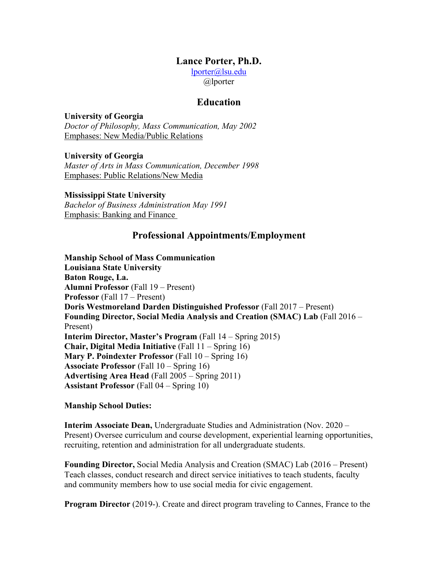#### **Lance Porter, Ph.D.**

[lporter@lsu.edu](mailto:lporter@lsu.edu)  @lporter

#### **Education**

#### **University of Georgia**

*Doctor of Philosophy, Mass Communication, May 2002*  Emphases: New Media/Public Relations

**University of Georgia**  *Master of Arts in Mass Communication, December 1998*  Emphases: Public Relations/New Media

 Emphasis: Banking and Finance **Mississippi State University**  *Bachelor of Business Administration May 1991* 

# **Professional Appointments/Employment**

 **Alumni Professor** (Fall 19 – Present) **Professor** (Fall 17 – Present) **Doris Westmoreland Darden Distinguished Professor** (Fall 2017 – Present) **Founding Director, Social Media Analysis and Creation (SMAC) Lab** (Fall 2016 – **Chair, Digital Media Initiative** (Fall 11 – Spring 16) **Mary P. Poindexter Professor** (Fall 10 – Spring 16) **Associate Professor** (Fall 10 – Spring 16) **Assistant Professor** (Fall 04 – Spring 10) **Manship School of Mass Communication Louisiana State University Baton Rouge, La.**  Present) **Interim Director, Master's Program** (Fall 14 – Spring 2015) **Advertising Area Head** (Fall 2005 – Spring 2011)

#### **Manship School Duties:**

**Interim Associate Dean,** Undergraduate Studies and Administration (Nov. 2020 – Present) Oversee curriculum and course development, experiential learning opportunities, recruiting, retention and administration for all undergraduate students.

**Founding Director,** Social Media Analysis and Creation (SMAC) Lab (2016 – Present) Teach classes, conduct research and direct service initiatives to teach students, faculty and community members how to use social media for civic engagement.

**Program Director** (2019-). Create and direct program traveling to Cannes, France to the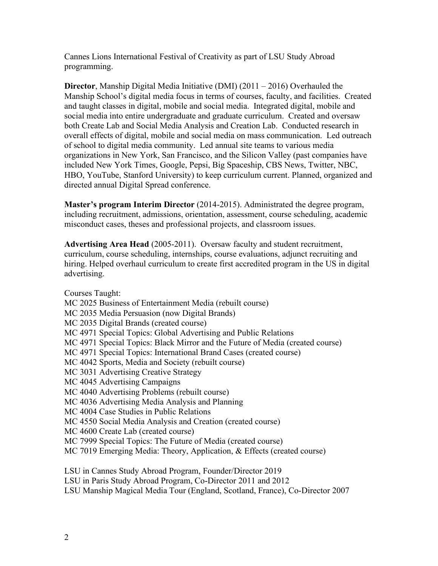Cannes Lions International Festival of Creativity as part of LSU Study Abroad programming.

**Director**, Manship Digital Media Initiative (DMI) (2011 – 2016) Overhauled the Manship School's digital media focus in terms of courses, faculty, and facilities. Created and taught classes in digital, mobile and social media. Integrated digital, mobile and social media into entire undergraduate and graduate curriculum. Created and oversaw both Create Lab and Social Media Analysis and Creation Lab. Conducted research in overall effects of digital, mobile and social media on mass communication. Led outreach of school to digital media community. Led annual site teams to various media organizations in New York, San Francisco, and the Silicon Valley (past companies have included New York Times, Google, Pepsi, Big Spaceship, CBS News, Twitter, NBC, HBO, YouTube, Stanford University) to keep curriculum current. Planned, organized and directed annual Digital Spread conference.

**Master's program Interim Director** (2014-2015). Administrated the degree program, including recruitment, admissions, orientation, assessment, course scheduling, academic misconduct cases, theses and professional projects, and classroom issues.

**Advertising Area Head** (2005-2011). Oversaw faculty and student recruitment, curriculum, course scheduling, internships, course evaluations, adjunct recruiting and hiring. Helped overhaul curriculum to create first accredited program in the US in digital advertising.

 MC 2035 Media Persuasion (now Digital Brands) MC 4550 Social Media Analysis and Creation (created course) Courses Taught: MC 2025 Business of Entertainment Media (rebuilt course) MC 2035 Digital Brands (created course) MC 4971 Special Topics: Global Advertising and Public Relations MC 4971 Special Topics: Black Mirror and the Future of Media (created course) MC 4971 Special Topics: International Brand Cases (created course) MC 4042 Sports, Media and Society (rebuilt course) MC 3031 Advertising Creative Strategy MC 4045 Advertising Campaigns MC 4040 Advertising Problems (rebuilt course) MC 4036 Advertising Media Analysis and Planning MC 4004 Case Studies in Public Relations MC 4600 Create Lab (created course) MC 7999 Special Topics: The Future of Media (created course) MC 7019 Emerging Media: Theory, Application, & Effects (created course)

LSU in Cannes Study Abroad Program, Founder/Director 2019 LSU in Paris Study Abroad Program, Co-Director 2011 and 2012 LSU Manship Magical Media Tour (England, Scotland, France), Co-Director 2007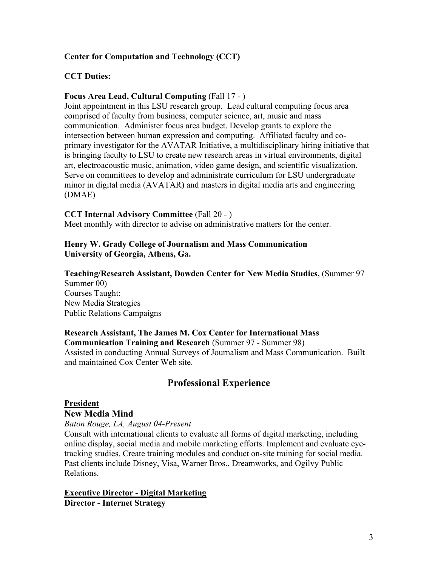#### **Center for Computation and Technology (CCT)**

#### **CCT Duties:**

### **Focus Area Lead, Cultural Computing** (Fall 17 - )

Joint appointment in this LSU research group. Lead cultural computing focus area comprised of faculty from business, computer science, art, music and mass communication. Administer focus area budget. Develop grants to explore the intersection between human expression and computing. Affiliated faculty and coprimary investigator for the AVATAR Initiative, a multidisciplinary hiring initiative that is bringing faculty to LSU to create new research areas in virtual environments, digital art, electroacoustic music, animation, video game design, and scientific visualization. Serve on committees to develop and administrate curriculum for LSU undergraduate minor in digital media (AVATAR) and masters in digital media arts and engineering (DMAE)

#### **CCT Internal Advisory Committee** (Fall 20 - )

Meet monthly with director to advise on administrative matters for the center.

#### **Henry W. Grady College of Journalism and Mass Communication University of Georgia, Athens, Ga.**

# **Teaching/Research Assistant, Dowden Center for New Media Studies,** (Summer 97 –

 Public Relations Campaigns Summer 00) Courses Taught: New Media Strategies

#### **Communication Training and Research** (Summer 97 - Summer 98) **Research Assistant, The James M. Cox Center for International Mass**  Assisted in conducting Annual Surveys of Journalism and Mass Communication. Built and maintained Cox Center Web site.

# **Professional Experience President**

#### **New Media Mind**

*Baton Rouge, LA, August 04-Present* 

 tracking studies. Create training modules and conduct on-site training for social media. Past clients include Disney, Visa, Warner Bros., Dreamworks, and Ogilvy Public Consult with international clients to evaluate all forms of digital marketing, including online display, social media and mobile marketing efforts. Implement and evaluate eye-Relations.

 **Executive Director - Digital Marketing Director - Internet Strategy**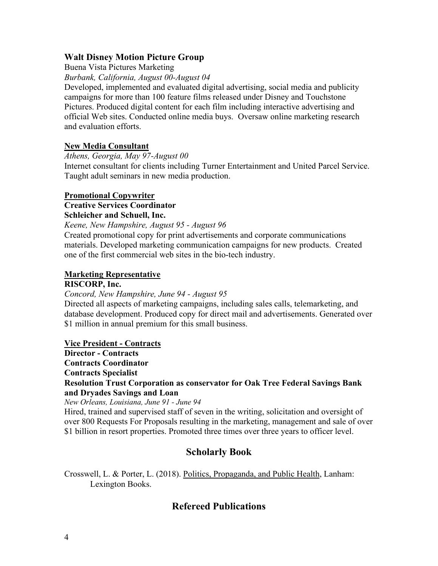#### **Walt Disney Motion Picture Group**

Buena Vista Pictures Marketing

*Burbank, California, August 00-August 04* 

Developed, implemented and evaluated digital advertising, social media and publicity campaigns for more than 100 feature films released under Disney and Touchstone Pictures. Produced digital content for each film including interactive advertising and official Web sites. Conducted online media buys. Oversaw online marketing research and evaluation efforts.

#### **New Media Consultant**

*Athens, Georgia, May 97-August 00* 

Internet consultant for clients including Turner Entertainment and United Parcel Service. Taught adult seminars in new media production.

#### **Promotional Copywriter**

#### **Creative Services Coordinator Schleicher and Schuell, Inc.**

*Keene, New Hampshire, August 95 - August 96* 

Created promotional copy for print advertisements and corporate communications materials. Developed marketing communication campaigns for new products. Created one of the first commercial web sites in the bio-tech industry.

# **Marketing Representative**

#### **RISCORP, Inc.**

*Concord, New Hampshire, June 94 - August 95* 

Directed all aspects of marketing campaigns, including sales calls, telemarketing, and database development. Produced copy for direct mail and advertisements. Generated over \$1 million in annual premium for this small business.

#### **Vice President - Contracts**

 **Director - Contracts** 

**Contracts Coordinator** 

**Contracts Specialist** 

#### **Resolution Trust Corporation as conservator for Oak Tree Federal Savings Bank and Dryades Savings and Loan**

 *New Orleans, Louisiana, June 91 - June 94* 

 \$1 billion in resort properties. Promoted three times over three years to officer level. Hired, trained and supervised staff of seven in the writing, solicitation and oversight of over 800 Requests For Proposals resulting in the marketing, management and sale of over

# **Scholarly Book**

Crosswell, L. & Porter, L. (2018). Politics, Propaganda, and Public Health, Lanham: Lexington Books.

# **Refereed Publications**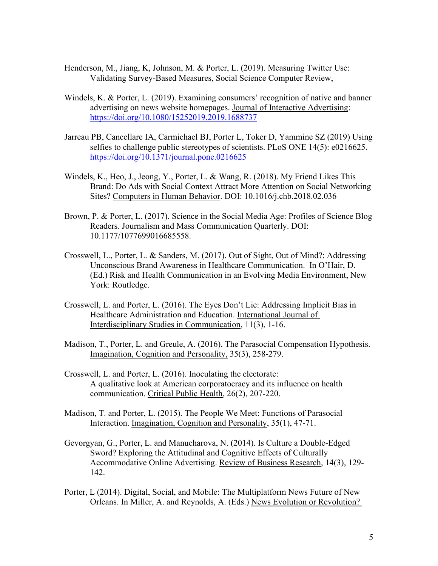- Henderson, M., Jiang, K, Johnson, M. & Porter, L. (2019). Measuring Twitter Use: Validating Survey-Based Measures, Social Science Computer Review,
- Windels, K. & Porter, L. (2019). Examining consumers' recognition of native and banner advertising on news website homepages. Journal of Interactive Advertising: <https://doi.org/10.1080/15252019.2019.1688737>
- Jarreau PB, Cancellare IA, Carmichael BJ, Porter L, Toker D, Yammine SZ (2019) Using selfies to challenge public stereotypes of scientists. PLoS ONE 14(5): e0216625. <https://doi.org/10.1371/journal.pone.0216625>
- Windels, K., Heo, J., Jeong, Y., Porter, L. & Wang, R. (2018). My Friend Likes This Brand: Do Ads with Social Context Attract More Attention on Social Networking Sites? Computers in Human Behavior. DOI: 10.1016/j.chb.2018.02.036
- Brown, P. & Porter, L. (2017). Science in the Social Media Age: Profiles of Science Blog Readers. Journalism and Mass Communication Quarterly. DOI: 10.1177/1077699016685558.
- Crosswell, L., Porter, L. & Sanders, M. (2017). Out of Sight, Out of Mind?: Addressing Unconscious Brand Awareness in Healthcare Communication. In O'Hair, D. (Ed.) Risk and Health Communication in an Evolving Media Environment, New York: Routledge.
- Crosswell, L. and Porter, L. (2016). The Eyes Don't Lie: Addressing Implicit Bias in Healthcare Administration and Education. International Journal of Interdisciplinary Studies in Communication, 11(3), 1-16.
- Madison, T., Porter, L. and Greule, A. (2016). The Parasocial Compensation Hypothesis. Imagination, Cognition and Personality, 35(3), 258-279.
- Crosswell, L. and Porter, L. (2016). Inoculating the electorate: A qualitative look at American corporatocracy and its influence on health communication. Critical Public Health, 26(2), 207-220.
- Madison, T. and Porter, L. (2015). The People We Meet: Functions of Parasocial Interaction. Imagination, Cognition and Personality, 35(1), 47-71.
- Gevorgyan, G., Porter, L. and Manucharova, N. (2014). Is Culture a Double-Edged Sword? Exploring the Attitudinal and Cognitive Effects of Culturally Accommodative Online Advertising. Review of Business Research, 14(3), 129- 142.
- Porter, L (2014). Digital, Social, and Mobile: The Multiplatform News Future of New Orleans. In Miller, A. and Reynolds, A. (Eds.) News Evolution or Revolution?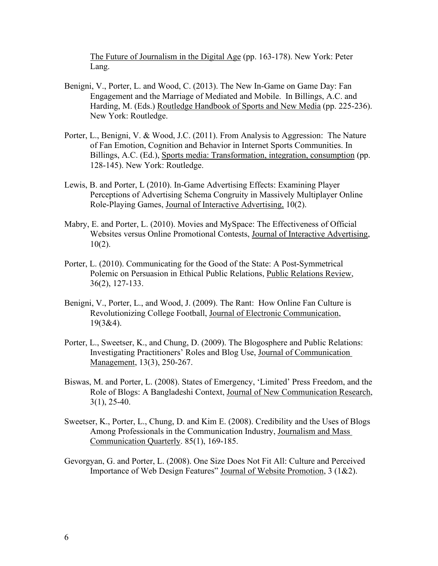The Future of Journalism in the Digital Age (pp. 163-178). New York: Peter Lang.

- Benigni, V., Porter, L. and Wood, C. (2013). The New In-Game on Game Day: Fan Engagement and the Marriage of Mediated and Mobile. In Billings, A.C. and Harding, M. (Eds.) Routledge Handbook of Sports and New Media (pp. 225-236). New York: Routledge.
- Porter, L., Benigni, V. & Wood, J.C. (2011). From Analysis to Aggression: The Nature of Fan Emotion, Cognition and Behavior in Internet Sports Communities. In Billings, A.C. (Ed.), Sports media: Transformation, integration, consumption (pp. 128-145). New York: Routledge.
- Role-Playing Games, Journal of Interactive Advertising, 10(2). Lewis, B. and Porter, L (2010). In-Game Advertising Effects: Examining Player Perceptions of Advertising Schema Congruity in Massively Multiplayer Online
- Mabry, E. and Porter, L. (2010). Movies and MySpace: The Effectiveness of Official Websites versus Online Promotional Contests, Journal of Interactive Advertising,  $10(2)$ .
- Porter, L. (2010). Communicating for the Good of the State: A Post-Symmetrical Polemic on Persuasion in Ethical Public Relations, Public Relations Review, 36(2), 127-133.
- Benigni, V., Porter, L., and Wood, J. (2009). The Rant: How Online Fan Culture is Revolutionizing College Football, Journal of Electronic Communication, 19(3&4).
- Porter, L., Sweetser, K., and Chung, D. (2009). The Blogosphere and Public Relations: Investigating Practitioners' Roles and Blog Use, Journal of Communication Management, 13(3), 250-267.
- Biswas, M. and Porter, L. (2008). States of Emergency, 'Limited' Press Freedom, and the Role of Blogs: A Bangladeshi Context, Journal of New Communication Research,  $3(1)$ ,  $25-40$ .
- Sweetser, K., Porter, L., Chung, D. and Kim E. (2008). Credibility and the Uses of Blogs Among Professionals in the Communication Industry, Journalism and Mass Communication Quarterly. 85(1), 169-185.
- Gevorgyan, G. and Porter, L. (2008). One Size Does Not Fit All: Culture and Perceived Importance of Web Design Features" Journal of Website Promotion, 3 (1&2).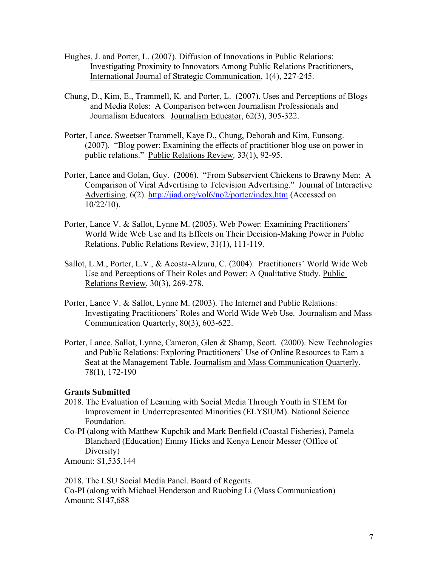- Hughes, J. and Porter, L. (2007). Diffusion of Innovations in Public Relations: Investigating Proximity to Innovators Among Public Relations Practitioners, International Journal of Strategic Communication, 1(4), 227-245.
- Chung, D., Kim, E., Trammell, K. and Porter, L. (2007). Uses and Perceptions of Blogs and Media Roles: A Comparison between Journalism Professionals and Journalism Educators*.* Journalism Educator, 62(3), 305-322.
- public relations." Public Relations Review*,* 33(1), 92-95. Porter, Lance, Sweetser Trammell, Kaye D., Chung, Deborah and Kim, Eunsong. (2007). "Blog power: Examining the effects of practitioner blog use on power in
- Comparison of Viral Advertising to Television Advertising." Journal of Interactive Porter, Lance and Golan, Guy. (2006). "From Subservient Chickens to Brawny Men: A Advertising*,* 6(2).<http://jiad.org/vol6/no2/porter/index.htm>(Accessed on 10/22/10).
- Porter, Lance V. & Sallot, Lynne M. (2005). Web Power: Examining Practitioners' World Wide Web Use and Its Effects on Their Decision-Making Power in Public Relations. Public Relations Review, 31(1), 111-119.
- Sallot, L.M., Porter, L.V., & Acosta-Alzuru, C. (2004). Practitioners' World Wide Web Use and Perceptions of Their Roles and Power: A Qualitative Study. Public Relations Review, 30(3), 269-278.
- Porter, Lance V. & Sallot, Lynne M. (2003). The Internet and Public Relations: Investigating Practitioners' Roles and World Wide Web Use. Journalism and Mass Communication Quarterly, 80(3), 603-622.
- Seat at the Management Table. Journalism and Mass Communication Quarterly, Porter, Lance, Sallot, Lynne, Cameron, Glen & Shamp, Scott. (2000). New Technologies and Public Relations: Exploring Practitioners' Use of Online Resources to Earn a 78(1), 172-190

#### **Grants Submitted**

- 2018. The Evaluation of Learning with Social Media Through Youth in STEM for Improvement in Underrepresented Minorities (ELYSIUM). National Science Foundation.
- Blanchard (Education) Emmy Hicks and Kenya Lenoir Messer (Office of Co-PI (along with Matthew Kupchik and Mark Benfield (Coastal Fisheries), Pamela Diversity)

Amount: \$1,535,144

 Co-PI (along with Michael Henderson and Ruobing Li (Mass Communication) Amount: \$147,688 2018. The LSU Social Media Panel. Board of Regents.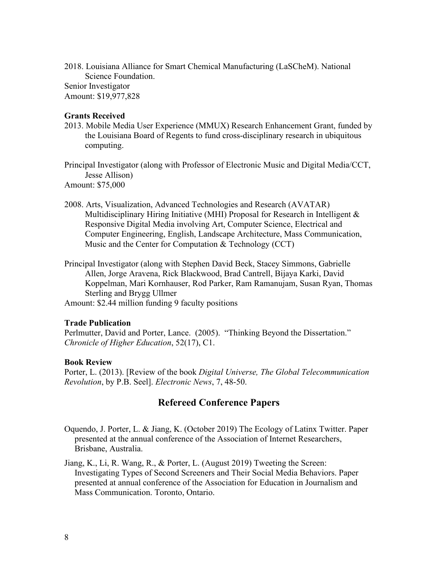2018. Louisiana Alliance for Smart Chemical Manufacturing (LaSCheM). National Science Foundation. Senior Investigator

Amount: \$19,977,828

#### **Grants Received**

2013. Mobile Media User Experience (MMUX) Research Enhancement Grant, funded by the Louisiana Board of Regents to fund cross-disciplinary research in ubiquitous computing.

Principal Investigator (along with Professor of Electronic Music and Digital Media/CCT, Jesse Allison) Amount: \$75,000

- 2008. Arts, Visualization, Advanced Technologies and Research (AVATAR) Multidisciplinary Hiring Initiative (MHI) Proposal for Research in Intelligent & Responsive Digital Media involving Art, Computer Science, Electrical and Computer Engineering, English, Landscape Architecture, Mass Communication, Music and the Center for Computation & Technology (CCT)
- Principal Investigator (along with Stephen David Beck, Stacey Simmons, Gabrielle Allen, Jorge Aravena, Rick Blackwood, Brad Cantrell, Bijaya Karki, David Koppelman, Mari Kornhauser, Rod Parker, Ram Ramanujam, Susan Ryan, Thomas Sterling and Brygg Ullmer

Amount: \$2.44 million funding 9 faculty positions

#### **Trade Publication**

 Perlmutter, David and Porter, Lance. (2005). "Thinking Beyond the Dissertation." *Chronicle of Higher Education*, 52(17), C1.

#### **Book Review**

Porter, L. (2013). [Review of the book *Digital Universe, The Global Telecommunication Revolution*, by P.B. Seel]. *Electronic News*, 7, 48-50.

# **Refereed Conference Papers**

Oquendo, J. Porter, L. & Jiang, K. (October 2019) The Ecology of Latinx Twitter. Paper presented at the annual conference of the Association of Internet Researchers, Brisbane, Australia.

Jiang, K., Li, R. Wang, R., & Porter, L. (August 2019) Tweeting the Screen: Investigating Types of Second Screeners and Their Social Media Behaviors. Paper presented at annual conference of the Association for Education in Journalism and Mass Communication. Toronto, Ontario.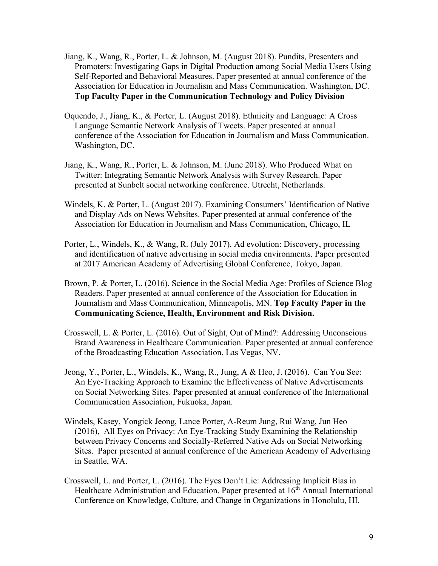- Jiang, K., Wang, R., Porter, L. & Johnson, M. (August 2018). Pundits, Presenters and Promoters: Investigating Gaps in Digital Production among Social Media Users Using Self-Reported and Behavioral Measures. Paper presented at annual conference of the Association for Education in Journalism and Mass Communication. Washington, DC. **Top Faculty Paper in the Communication Technology and Policy Division**
- Oquendo, J., Jiang, K., & Porter, L. (August 2018). Ethnicity and Language: A Cross Language Semantic Network Analysis of Tweets. Paper presented at annual conference of the Association for Education in Journalism and Mass Communication. Washington, DC.
- Jiang, K., Wang, R., Porter, L. & Johnson, M. (June 2018). Who Produced What on Twitter: Integrating Semantic Network Analysis with Survey Research. Paper presented at Sunbelt social networking conference. Utrecht, Netherlands.
- Association for Education in Journalism and Mass Communication, Chicago, IL Windels, K. & Porter, L. (August 2017). Examining Consumers' Identification of Native and Display Ads on News Websites. Paper presented at annual conference of the
- Porter, L., Windels, K., & Wang, R. (July 2017). Ad evolution: Discovery, processing and identification of native advertising in social media environments. Paper presented at 2017 American Academy of Advertising Global Conference, Tokyo, Japan.
- Brown, P. & Porter, L. (2016). Science in the Social Media Age: Profiles of Science Blog Readers. Paper presented at annual conference of the Association for Education in Journalism and Mass Communication, Minneapolis, MN. **Top Faculty Paper in the Communicating Science, Health, Environment and Risk Division.**
- Crosswell, L. & Porter, L. (2016). Out of Sight, Out of Mind?: Addressing Unconscious Brand Awareness in Healthcare Communication. Paper presented at annual conference of the Broadcasting Education Association, Las Vegas, NV.
- Jeong, Y., Porter, L., Windels, K., Wang, R., Jung, A & Heo, J. (2016). Can You See: An Eye-Tracking Approach to Examine the Effectiveness of Native Advertisements on Social Networking Sites. Paper presented at annual conference of the International Communication Association, Fukuoka, Japan.
- Windels, Kasey, Yongick Jeong, Lance Porter, A-Reum Jung, Rui Wang, Jun Heo (2016), All Eyes on Privacy: An Eye-Tracking Study Examining the Relationship between Privacy Concerns and Socially-Referred Native Ads on Social Networking Sites. Paper presented at annual conference of the American Academy of Advertising in Seattle, WA.
- Healthcare Administration and Education. Paper presented at 16<sup>th</sup> Annual International Crosswell, L. and Porter, L. (2016). The Eyes Don't Lie: Addressing Implicit Bias in Conference on Knowledge, Culture, and Change in Organizations in Honolulu, HI.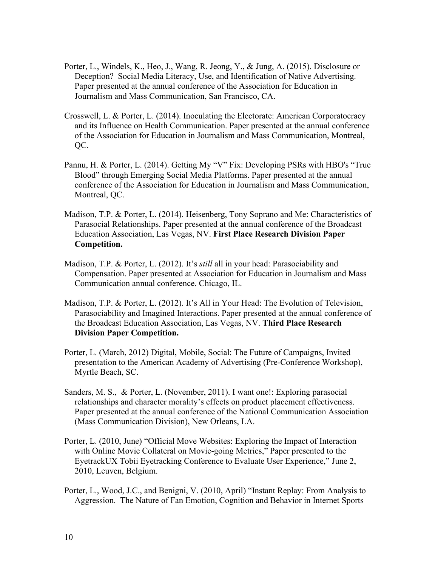- Porter, L., Windels, K., Heo, J., Wang, R. Jeong, Y., & Jung, A. (2015). Disclosure or Deception? Social Media Literacy, Use, and Identification of Native Advertising. Paper presented at the annual conference of the Association for Education in Journalism and Mass Communication, San Francisco, CA.
- Crosswell, L. & Porter, L. (2014). Inoculating the Electorate: American Corporatocracy and its Influence on Health Communication. Paper presented at the annual conference of the Association for Education in Journalism and Mass Communication, Montreal, QC.
- Blood" through Emerging Social Media Platforms. Paper presented at the annual Pannu, H. & Porter, L. (2014). Getting My "V" Fix: Developing PSRs with HBO's "True conference of the Association for Education in Journalism and Mass Communication, Montreal, QC.
- Madison, T.P. & Porter, L. (2014). Heisenberg, Tony Soprano and Me: Characteristics of Parasocial Relationships. Paper presented at the annual conference of the Broadcast Education Association, Las Vegas, NV. **First Place Research Division Paper Competition.**
- Madison, T.P. & Porter, L. (2012). It's *still* all in your head: Parasociability and Compensation. Paper presented at Association for Education in Journalism and Mass Communication annual conference. Chicago, IL.
- Parasociability and Imagined Interactions. Paper presented at the annual conference of Madison, T.P. & Porter, L. (2012). It's All in Your Head: The Evolution of Television, the Broadcast Education Association, Las Vegas, NV. **Third Place Research Division Paper Competition.**
- Myrtle Beach, SC. Porter, L. (March, 2012) Digital, Mobile, Social: The Future of Campaigns, Invited presentation to the American Academy of Advertising (Pre-Conference Workshop),
- relationships and character morality's effects on product placement effectiveness. Sanders, M. S., & Porter, L. (November, 2011). I want one!: Exploring parasocial Paper presented at the annual conference of the National Communication Association (Mass Communication Division), New Orleans, LA.
- Porter, L. (2010, June) "Official Move Websites: Exploring the Impact of Interaction with Online Movie Collateral on Movie-going Metrics," Paper presented to the EyetrackUX Tobii Eyetracking Conference to Evaluate User Experience," June 2, 2010, Leuven, Belgium.
- Porter, L., Wood, J.C., and Benigni, V. (2010, April) "Instant Replay: From Analysis to Aggression. The Nature of Fan Emotion, Cognition and Behavior in Internet Sports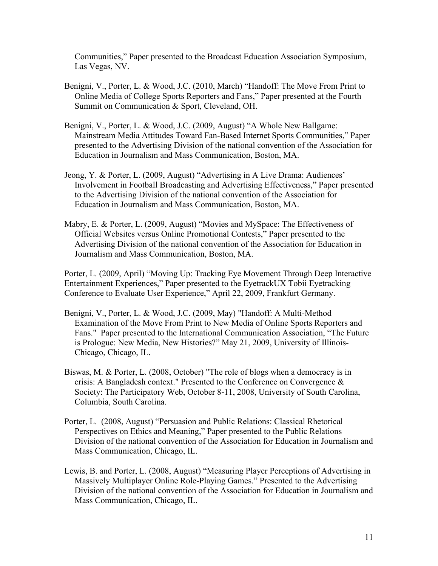Communities," Paper presented to the Broadcast Education Association Symposium, Las Vegas, NV.

- Benigni, V., Porter, L. & Wood, J.C. (2010, March) "Handoff: The Move From Print to Online Media of College Sports Reporters and Fans," Paper presented at the Fourth Summit on Communication & Sport, Cleveland, OH.
- Benigni, V., Porter, L. & Wood, J.C. (2009, August) "A Whole New Ballgame: Mainstream Media Attitudes Toward Fan-Based Internet Sports Communities," Paper presented to the Advertising Division of the national convention of the Association for Education in Journalism and Mass Communication, Boston, MA.
- Jeong, Y. & Porter, L. (2009, August) "Advertising in A Live Drama: Audiences' Involvement in Football Broadcasting and Advertising Effectiveness," Paper presented to the Advertising Division of the national convention of the Association for Education in Journalism and Mass Communication, Boston, MA.
- Mabry, E. & Porter, L. (2009, August) "Movies and MySpace: The Effectiveness of Official Websites versus Online Promotional Contests," Paper presented to the Advertising Division of the national convention of the Association for Education in Journalism and Mass Communication, Boston, MA.

Porter, L. (2009, April) "Moving Up: Tracking Eye Movement Through Deep Interactive Entertainment Experiences," Paper presented to the EyetrackUX Tobii Eyetracking Conference to Evaluate User Experience," April 22, 2009, Frankfurt Germany.

- Benigni, V., Porter, L. & Wood, J.C. (2009, May) "Handoff: A Multi-Method Examination of the Move From Print to New Media of Online Sports Reporters and Fans." Paper presented to the International Communication Association, "The Future is Prologue: New Media, New Histories?" May 21, 2009, University of Illinois-Chicago, Chicago, IL.
- Biswas, M. & Porter, L. (2008, October) "The role of blogs when a democracy is in crisis: A Bangladesh context." Presented to the Conference on Convergence & Society: The Participatory Web, October 8-11, 2008, University of South Carolina, Columbia, South Carolina.
- Porter, L. (2008, August) "Persuasion and Public Relations: Classical Rhetorical Perspectives on Ethics and Meaning," Paper presented to the Public Relations Division of the national convention of the Association for Education in Journalism and Mass Communication, Chicago, IL.
- Lewis, B. and Porter, L. (2008, August) "Measuring Player Perceptions of Advertising in Massively Multiplayer Online Role-Playing Games." Presented to the Advertising Division of the national convention of the Association for Education in Journalism and Mass Communication, Chicago, IL.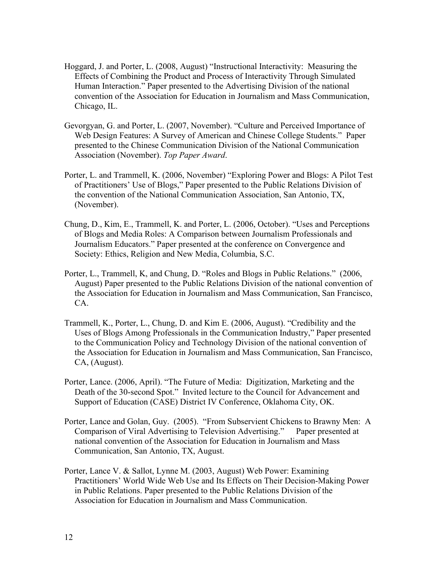- Hoggard, J. and Porter, L. (2008, August) "Instructional Interactivity: Measuring the Effects of Combining the Product and Process of Interactivity Through Simulated Human Interaction." Paper presented to the Advertising Division of the national convention of the Association for Education in Journalism and Mass Communication, Chicago, IL.
- Gevorgyan, G. and Porter, L. (2007, November). "Culture and Perceived Importance of Web Design Features: A Survey of American and Chinese College Students." Paper presented to the Chinese Communication Division of the National Communication Association (November). *Top Paper Award*.
- Porter, L. and Trammell, K. (2006, November) "Exploring Power and Blogs: A Pilot Test of Practitioners' Use of Blogs," Paper presented to the Public Relations Division of the convention of the National Communication Association, San Antonio, TX, (November).
- Chung, D., Kim, E., Trammell, K. and Porter, L. (2006, October). "Uses and Perceptions of Blogs and Media Roles: A Comparison between Journalism Professionals and Journalism Educators." Paper presented at the conference on Convergence and Society: Ethics, Religion and New Media, Columbia, S.C.
- Porter, L., Trammell, K, and Chung, D. "Roles and Blogs in Public Relations." (2006, August) Paper presented to the Public Relations Division of the national convention of the Association for Education in Journalism and Mass Communication, San Francisco, CA.
- Trammell, K., Porter, L., Chung, D. and Kim E. (2006, August). "Credibility and the Uses of Blogs Among Professionals in the Communication Industry," Paper presented to the Communication Policy and Technology Division of the national convention of the Association for Education in Journalism and Mass Communication, San Francisco, CA, (August).
- Porter, Lance. (2006, April). "The Future of Media: Digitization, Marketing and the Death of the 30-second Spot." Invited lecture to the Council for Advancement and Support of Education (CASE) District IV Conference, Oklahoma City, OK.
- Porter, Lance and Golan, Guy. (2005). "From Subservient Chickens to Brawny Men: A Comparison of Viral Advertising to Television Advertising." Paper presented at national convention of the Association for Education in Journalism and Mass Communication, San Antonio, TX, August.
- Porter, Lance V. & Sallot, Lynne M. (2003, August) Web Power: Examining Practitioners' World Wide Web Use and Its Effects on Their Decision-Making Power in Public Relations. Paper presented to the Public Relations Division of the Association for Education in Journalism and Mass Communication.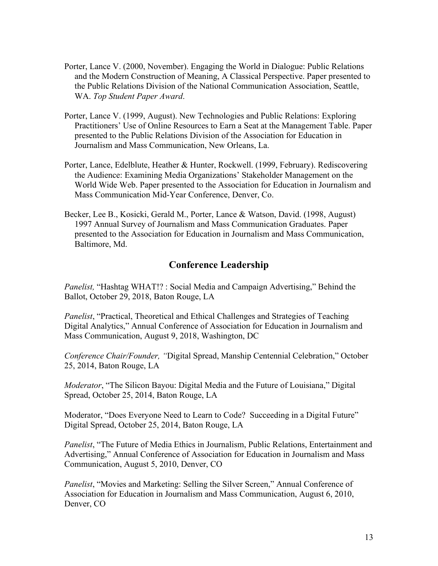- Porter, Lance V. (2000, November). Engaging the World in Dialogue: Public Relations and the Modern Construction of Meaning, A Classical Perspective. Paper presented to the Public Relations Division of the National Communication Association, Seattle, WA. *Top Student Paper Award*.
- Porter, Lance V. (1999, August). New Technologies and Public Relations: Exploring Practitioners' Use of Online Resources to Earn a Seat at the Management Table. Paper presented to the Public Relations Division of the Association for Education in Journalism and Mass Communication, New Orleans, La.
- Porter, Lance, Edelblute, Heather & Hunter, Rockwell. (1999, February). Rediscovering the Audience: Examining Media Organizations' Stakeholder Management on the World Wide Web. Paper presented to the Association for Education in Journalism and Mass Communication Mid-Year Conference, Denver, Co.
- Becker, Lee B., Kosicki, Gerald M., Porter, Lance & Watson, David. (1998, August) 1997 Annual Survey of Journalism and Mass Communication Graduates. Paper presented to the Association for Education in Journalism and Mass Communication, Baltimore, Md.

# **Conference Leadership**

*Panelist,* "Hashtag WHAT!? : Social Media and Campaign Advertising," Behind the Ballot, October 29, 2018, Baton Rouge, LA

*Panelist*, "Practical, Theoretical and Ethical Challenges and Strategies of Teaching Digital Analytics," Annual Conference of Association for Education in Journalism and Mass Communication, August 9, 2018, Washington, DC

*Conference Chair/Founder, "*Digital Spread, Manship Centennial Celebration," October 25, 2014, Baton Rouge, LA

*Moderator*, "The Silicon Bayou: Digital Media and the Future of Louisiana," Digital Spread, October 25, 2014, Baton Rouge, LA

Moderator, "Does Everyone Need to Learn to Code? Succeeding in a Digital Future" Digital Spread, October 25, 2014, Baton Rouge, LA

*Panelist*, "The Future of Media Ethics in Journalism, Public Relations, Entertainment and Advertising," Annual Conference of Association for Education in Journalism and Mass Communication, August 5, 2010, Denver, CO

*Panelist*, "Movies and Marketing: Selling the Silver Screen," Annual Conference of Association for Education in Journalism and Mass Communication, August 6, 2010, Denver, CO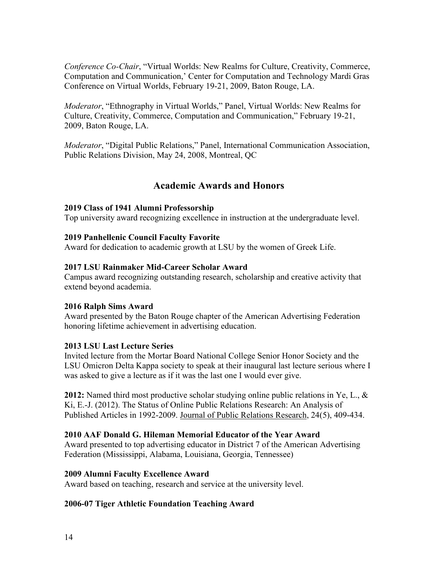*Conference Co-Chair*, "Virtual Worlds: New Realms for Culture, Creativity, Commerce, Computation and Communication,' Center for Computation and Technology Mardi Gras Conference on Virtual Worlds, February 19-21, 2009, Baton Rouge, LA.

*Moderator*, "Ethnography in Virtual Worlds," Panel, Virtual Worlds: New Realms for Culture, Creativity, Commerce, Computation and Communication," February 19-21, 2009, Baton Rouge, LA.

*Moderator*, "Digital Public Relations," Panel, International Communication Association, Public Relations Division, May 24, 2008, Montreal, QC

# **Academic Awards and Honors**

#### **2019 Class of 1941 Alumni Professorship**

Top university award recognizing excellence in instruction at the undergraduate level.

#### **2019 Panhellenic Council Faculty Favorite**

Award for dedication to academic growth at LSU by the women of Greek Life.

#### **2017 LSU Rainmaker Mid-Career Scholar Award**

 Campus award recognizing outstanding research, scholarship and creative activity that extend beyond academia.

#### **2016 Ralph Sims Award**

Award presented by the Baton Rouge chapter of the American Advertising Federation honoring lifetime achievement in advertising education.

#### **2013 LSU Last Lecture Series**

 Invited lecture from the Mortar Board National College Senior Honor Society and the LSU Omicron Delta Kappa society to speak at their inaugural last lecture serious where I was asked to give a lecture as if it was the last one I would ever give.

**2012:** Named third most productive scholar studying online public relations in Ye, L., & Ki, E.-J. (2012). The Status of Online Public Relations Research: An Analysis of Published Articles in 1992-2009. Journal of Public Relations Research, 24(5), 409-434.

#### **2010 AAF Donald G. Hileman Memorial Educator of the Year Award**

Award presented to top advertising educator in District 7 of the American Advertising Federation (Mississippi, Alabama, Louisiana, Georgia, Tennessee)

#### **2009 Alumni Faculty Excellence Award**

Award based on teaching, research and service at the university level.

#### **2006-07 Tiger Athletic Foundation Teaching Award**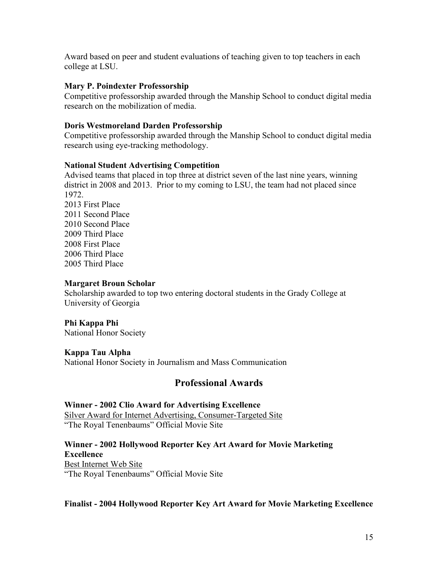Award based on peer and student evaluations of teaching given to top teachers in each college at LSU.

#### **Mary P. Poindexter Professorship**

Competitive professorship awarded through the Manship School to conduct digital media research on the mobilization of media.

#### **Doris Westmoreland Darden Professorship**

Competitive professorship awarded through the Manship School to conduct digital media research using eye-tracking methodology.

#### **National Student Advertising Competition**

 district in 2008 and 2013. Prior to my coming to LSU, the team had not placed since Advised teams that placed in top three at district seven of the last nine years, winning 1972. 2013 First Place 2011 Second Place

2010 Second Place 2009 Third Place 2008 First Place 2006 Third Place 2005 Third Place

#### **Margaret Broun Scholar**

Scholarship awarded to top two entering doctoral students in the Grady College at University of Georgia

#### **Phi Kappa Phi**

National Honor Society

#### **Kappa Tau Alpha**

National Honor Society in Journalism and Mass Communication

### **Professional Awards**

#### **Winner - 2002 Clio Award for Advertising Excellence**

 "The Royal Tenenbaums" Official Movie Site Silver Award for Internet Advertising, Consumer-Targeted Site

#### **Excellence Winner - 2002 Hollywood Reporter Key Art Award for Movie Marketing**

Best Internet Web Site "The Royal Tenenbaums" Official Movie Site

#### **Finalist - 2004 Hollywood Reporter Key Art Award for Movie Marketing Excellence**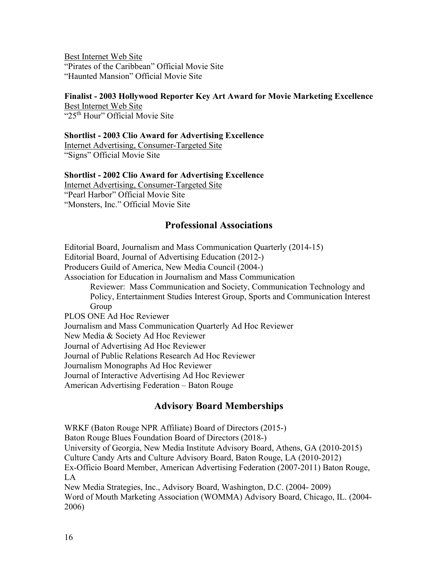Best Internet Web Site "Pirates of the Caribbean" Official Movie Site "Haunted Mansion" Official Movie Site

#### **Finalist - 2003 Hollywood Reporter Key Art Award for Movie Marketing Excellence**

Best Internet Web Site " $25<sup>th</sup>$  Hour" Official Movie Site

#### **Shortlist - 2003 Clio Award for Advertising Excellence**

Internet Advertising, Consumer-Targeted Site "Signs" Official Movie Site

#### **Shortlist - 2002 Clio Award for Advertising Excellence**

 "Monsters, Inc." Official Movie Site Internet Advertising, Consumer-Targeted Site "Pearl Harbor" Official Movie Site

# **Professional Associations**

 Editorial Board, Journalism and Mass Communication Quarterly (2014-15) Producers Guild of America, New Media Council (2004-) Editorial Board, Journal of Advertising Education (2012-) Association for Education in Journalism and Mass Communication Reviewer: Mass Communication and Society, Communication Technology and Policy, Entertainment Studies Interest Group, Sports and Communication Interest Group PLOS ONE Ad Hoc Reviewer Journalism and Mass Communication Quarterly Ad Hoc Reviewer New Media & Society Ad Hoc Reviewer Journal of Advertising Ad Hoc Reviewer Journal of Public Relations Research Ad Hoc Reviewer Journalism Monographs Ad Hoc Reviewer Journal of Interactive Advertising Ad Hoc Reviewer American Advertising Federation – Baton Rouge

# **Advisory Board Memberships**

 WRKF (Baton Rouge NPR Affiliate) Board of Directors (2015-) Culture Candy Arts and Culture Advisory Board, Baton Rouge, LA (2010-2012) New Media Strategies, Inc., Advisory Board, Washington, D.C. (2004- 2009) Baton Rouge Blues Foundation Board of Directors (2018-) University of Georgia, New Media Institute Advisory Board, Athens, GA (2010-2015) Ex-Officio Board Member, American Advertising Federation (2007-2011) Baton Rouge, LA Word of Mouth Marketing Association (WOMMA) Advisory Board, Chicago, IL. (2004- 2006)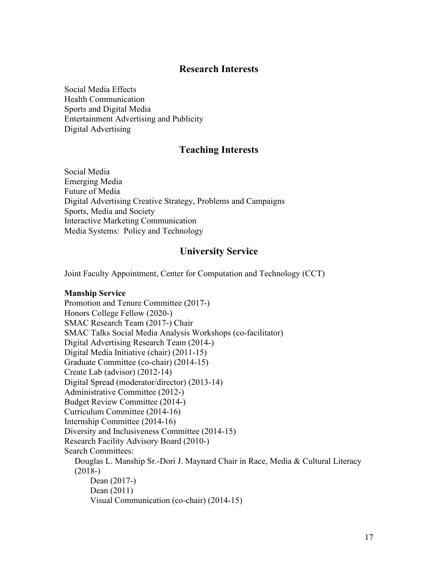## **Research Interests**

Social Media Effects Health Communication Sports and Digital Media Entertainment Advertising and Publicity Digital Advertising

# **Teaching Interests**

 Social Media Emerging Media Future of Media Digital Advertising Creative Strategy, Problems and Campaigns Sports, Media and Society Interactive Marketing Communication Media Systems: Policy and Technology

# **University Service**

Joint Faculty Appointment, Center for Computation and Technology (CCT)

#### **Manship Service**

 Digital Spread (moderator/director) (2013-14) Douglas L. Manship Sr.-Dori J. Maynard Chair in Race, Media & Cultural Literacy Promotion and Tenure Committee (2017-) Honors College Fellow (2020-) SMAC Research Team (2017-) Chair SMAC Talks Social Media Analysis Workshops (co-facilitator) Digital Advertising Research Team (2014-) Digital Media Initiative (chair) (2011-15) Graduate Committee (co-chair) (2014-15) Create Lab (advisor) (2012-14) Administrative Committee (2012-) Budget Review Committee (2014-) Curriculum Committee (2014-16) Internship Committee (2014-16) Diversity and Inclusiveness Committee (2014-15) Research Facility Advisory Board (2010-) Search Committees: (2018-) Dean (2017-) Dean (2011) Visual Communication (co-chair) (2014-15)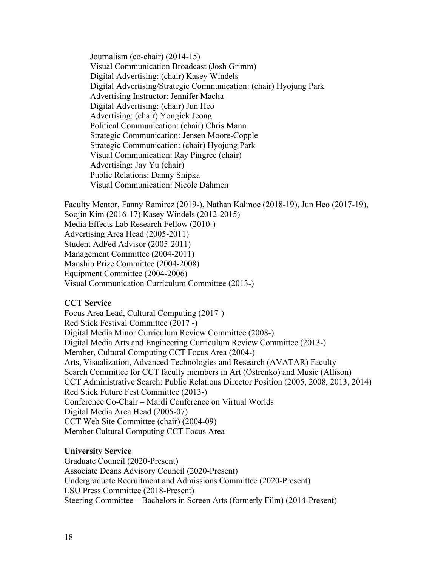Digital Advertising: (chair) Kasey Windels **Visual Communication: Nicole Dahmen** Journalism (co-chair) (2014-15) Visual Communication Broadcast (Josh Grimm) Digital Advertising/Strategic Communication: (chair) Hyojung Park Advertising Instructor: Jennifer Macha Digital Advertising: (chair) Jun Heo Advertising: (chair) Yongick Jeong Political Communication: (chair) Chris Mann Strategic Communication: Jensen Moore-Copple Strategic Communication: (chair) Hyojung Park Visual Communication: Ray Pingree (chair) Advertising: Jay Yu (chair) Public Relations: Danny Shipka

Faculty Mentor, Fanny Ramirez (2019-), Nathan Kalmoe (2018-19), Jun Heo (2017-19), Soojin Kim (2016-17) Kasey Windels (2012-2015) Media Effects Lab Research Fellow (2010-) Advertising Area Head (2005-2011) Student AdFed Advisor (2005-2011) Management Committee (2004-2011) Manship Prize Committee (2004-2008) Equipment Committee (2004-2006) Visual Communication Curriculum Committee (2013-)

#### **CCT Service**

 Member, Cultural Computing CCT Focus Area (2004-) Arts, Visualization, Advanced Technologies and Research (AVATAR) Faculty Conference Co-Chair – Mardi Conference on Virtual Worlds Digital Media Area Head (2005-07) Focus Area Lead, Cultural Computing (2017-) Red Stick Festival Committee (2017 -) Digital Media Minor Curriculum Review Committee (2008-) Digital Media Arts and Engineering Curriculum Review Committee (2013-) Search Committee for CCT faculty members in Art (Ostrenko) and Music (Allison) CCT Administrative Search: Public Relations Director Position (2005, 2008, 2013, 2014) Red Stick Future Fest Committee (2013-) CCT Web Site Committee (chair) (2004-09) Member Cultural Computing CCT Focus Area

#### **University Service**

Graduate Council (2020-Present) Associate Deans Advisory Council (2020-Present) Undergraduate Recruitment and Admissions Committee (2020-Present) LSU Press Committee (2018-Present) Steering Committee—Bachelors in Screen Arts (formerly Film) (2014-Present)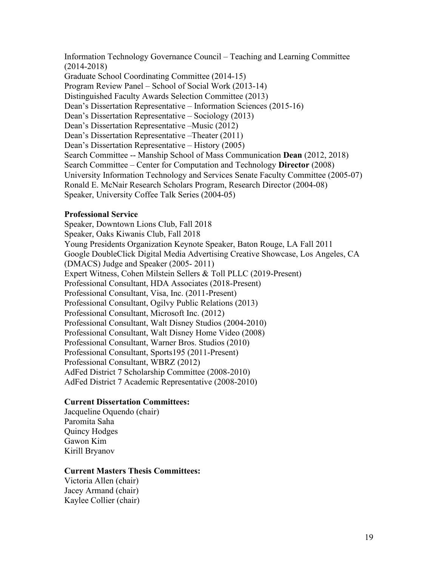Information Technology Governance Council – Teaching and Learning Committee Search Committee – Center for Computation and Technology **Director** (2008) Speaker, University Coffee Talk Series (2004-05) (2014-2018) Graduate School Coordinating Committee (2014-15) Program Review Panel – School of Social Work (2013-14) Distinguished Faculty Awards Selection Committee (2013) Dean's Dissertation Representative – Information Sciences (2015-16) Dean's Dissertation Representative – Sociology (2013) Dean's Dissertation Representative –Music (2012) Dean's Dissertation Representative –Theater (2011) Dean's Dissertation Representative – History (2005) Search Committee -- Manship School of Mass Communication **Dean** (2012, 2018) University Information Technology and Services Senate Faculty Committee (2005-07) Ronald E. McNair Research Scholars Program, Research Director (2004-08)

#### **Professional Service**

 Young Presidents Organization Keynote Speaker, Baton Rouge, LA Fall 2011 (DMACS) Judge and Speaker (2005- 2011) Professional Consultant, Ogilvy Public Relations (2013) Professional Consultant, Microsoft Inc. (2012) Professional Consultant, Walt Disney Studios (2004-2010) Professional Consultant, Warner Bros. Studios (2010) AdFed District 7 Scholarship Committee (2008-2010) Speaker, Downtown Lions Club, Fall 2018 Speaker, Oaks Kiwanis Club, Fall 2018 Google DoubleClick Digital Media Advertising Creative Showcase, Los Angeles, CA Expert Witness, Cohen Milstein Sellers & Toll PLLC (2019-Present) Professional Consultant, HDA Associates (2018-Present) Professional Consultant, Visa, Inc. (2011-Present) Professional Consultant, Walt Disney Home Video (2008) Professional Consultant, Sports195 (2011-Present) Professional Consultant, WBRZ (2012) AdFed District 7 Academic Representative (2008-2010)

#### **Current Dissertation Committees:**

Jacqueline Oquendo (chair) Paromita Saha Quincy Hodges Gawon Kim Kirill Bryanov

#### **Current Masters Thesis Committees:**

Victoria Allen (chair) Jacey Armand (chair) Kaylee Collier (chair)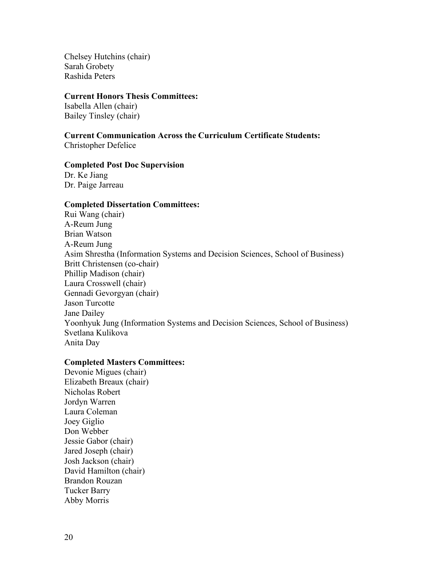Chelsey Hutchins (chair) Sarah Grobety Rashida Peters

#### **Current Honors Thesis Committees:**

 Isabella Allen (chair) Bailey Tinsley (chair)

# **Current Communication Across the Curriculum Certificate Students:**

Christopher Defelice

#### **Completed Post Doc Supervision**

Dr. Ke Jiang Dr. Paige Jarreau

#### **Completed Dissertation Committees:**

Rui Wang (chair) A-Reum Jung Brian Watson A-Reum Jung Asim Shrestha (Information Systems and Decision Sciences, School of Business) Britt Christensen (co-chair) Phillip Madison (chair) Laura Crosswell (chair) Gennadi Gevorgyan (chair) Jason Turcotte Jane Dailey Yoonhyuk Jung (Information Systems and Decision Sciences, School of Business) Svetlana Kulikova Anita Day

#### **Completed Masters Committees:**

Devonie Migues (chair) Elizabeth Breaux (chair) Nicholas Robert Jordyn Warren Laura Coleman Joey Giglio Don Webber Jessie Gabor (chair) Jared Joseph (chair) Josh Jackson (chair) David Hamilton (chair) Brandon Rouzan Tucker Barry Abby Morris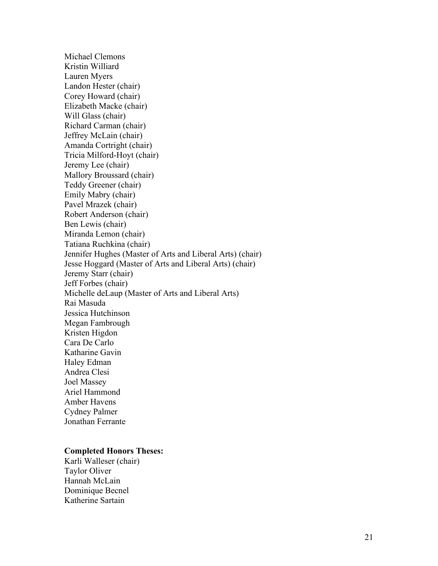Tatiana Ruchkina (chair) Michael Clemons Kristin Williard Lauren Myers Landon Hester (chair) Corey Howard (chair) Elizabeth Macke (chair) Will Glass (chair) Richard Carman (chair) Jeffrey McLain (chair) Amanda Cortright (chair) Tricia Milford-Hoyt (chair) Jeremy Lee (chair) Mallory Broussard (chair) Teddy Greener (chair) Emily Mabry (chair) Pavel Mrazek (chair) Robert Anderson (chair) Ben Lewis (chair) Miranda Lemon (chair) Jennifer Hughes (Master of Arts and Liberal Arts) (chair) Jesse Hoggard (Master of Arts and Liberal Arts) (chair) Jeremy Starr (chair) Jeff Forbes (chair) Michelle deLaup (Master of Arts and Liberal Arts) Rai Masuda Jessica Hutchinson Megan Fambrough Kristen Higdon Cara De Carlo Katharine Gavin Haley Edman Andrea Clesi Joel Massey Ariel Hammond Amber Havens Cydney Palmer Jonathan Ferrante

#### **Completed Honors Theses:**

Karli Walleser (chair) Taylor Oliver Hannah McLain Dominique Becnel Katherine Sartain